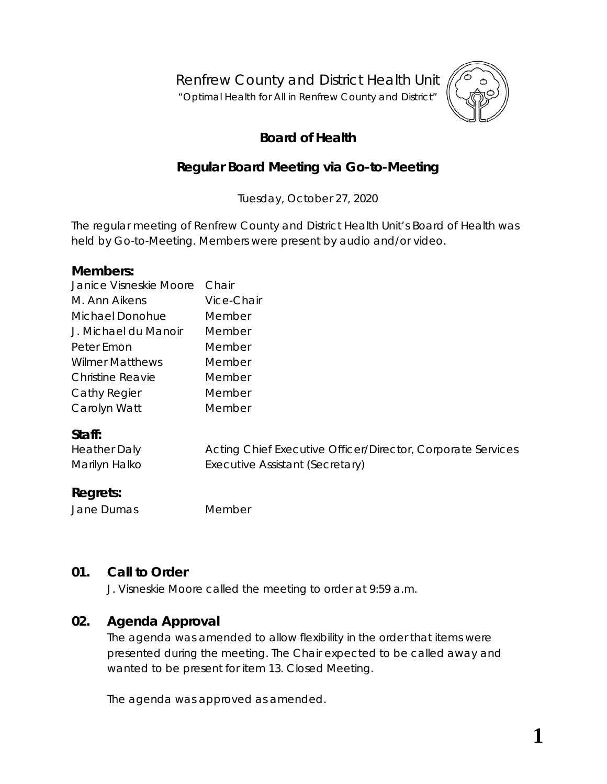Renfrew County and District Health Unit

"*Optimal Health for All in Renfrew County and District"*



# **Board of Health**

# **Regular Board Meeting via Go-to-Meeting**

Tuesday, October 27, 2020

The regular meeting of Renfrew County and District Health Unit's Board of Health was held by *Go-to-Meeting*. Members were present by audio and/or video.

#### **Members:**

| Janice Visneskie Moore  | Chair                                                       |  |  |
|-------------------------|-------------------------------------------------------------|--|--|
| M. Ann Aikens           | Vice-Chair                                                  |  |  |
| Michael Donohue         | Member                                                      |  |  |
| J. Michael du Manoir    | Member                                                      |  |  |
| Peter Emon              | Member                                                      |  |  |
| <b>Wilmer Matthews</b>  | Member                                                      |  |  |
| <b>Christine Reavie</b> | Member                                                      |  |  |
| Cathy Regier            | Member                                                      |  |  |
| Carolyn Watt            | Member                                                      |  |  |
| Staff:                  |                                                             |  |  |
| <b>Heather Daly</b>     | Acting Chief Executive Officer/Director, Corporate Services |  |  |
| Marilyn Halko           | Executive Assistant (Secretary)                             |  |  |

#### **Regrets:**

Jane Dumas Member

# **01. Call to Order**

J. Visneskie Moore called the meeting to order at 9:59 a.m.

# **02. Agenda Approval**

The agenda was amended to allow flexibility in the order that items were presented during the meeting. The Chair expected to be called away and wanted to be present for item 13. Closed Meeting.

The agenda was approved as amended.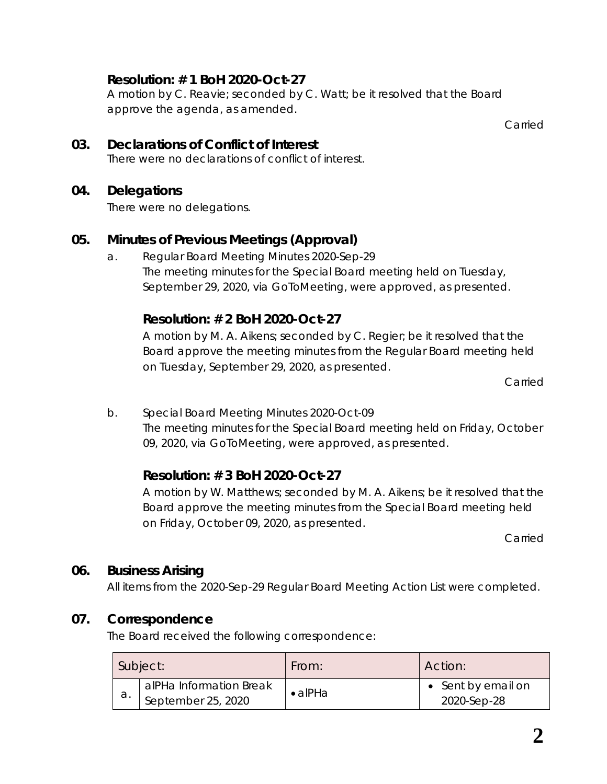# **Resolution: # 1 BoH 2020-Oct-27**

A motion by C. Reavie; seconded by C. Watt; be it resolved that the Board approve the agenda, as amended.

Carried

**03. Declarations of Conflict of Interest** There were no declarations of conflict of interest.

### **04. Delegations**

There were no delegations.

# **05. Minutes of Previous Meetings (Approval)**

a. Regular Board Meeting Minutes 2020-Sep-29 The meeting minutes for the Special Board meeting held on Tuesday, September 29, 2020, via *GoToMeeting*, were approved, as presented.

# **Resolution: # 2 BoH 2020-Oct-27**

A motion by M. A. Aikens; seconded by C. Regier; be it resolved that the Board approve the meeting minutes from the Regular Board meeting held on Tuesday, September 29, 2020, as presented.

Carried

b. Special Board Meeting Minutes 2020-Oct-09 The meeting minutes for the Special Board meeting held on Friday, October 09, 2020, via *GoToMeeting*, were approved, as presented.

# **Resolution: # 3 BoH 2020-Oct-27**

A motion by W. Matthews; seconded by M. A. Aikens; be it resolved that the Board approve the meeting minutes from the Special Board meeting held on Friday, October 09, 2020, as presented.

Carried

# **06. Business Arising**

All items from the 2020-Sep-29 Regular Board Meeting Action List were completed.

# **07. Correspondence**

The Board received the following correspondence:

|    | Subject:                                      | From:           | Action:                           |
|----|-----------------------------------------------|-----------------|-----------------------------------|
| а. | alPHa Information Break<br>September 25, 2020 | $\bullet$ alPHa | • Sent by email on<br>2020-Sep-28 |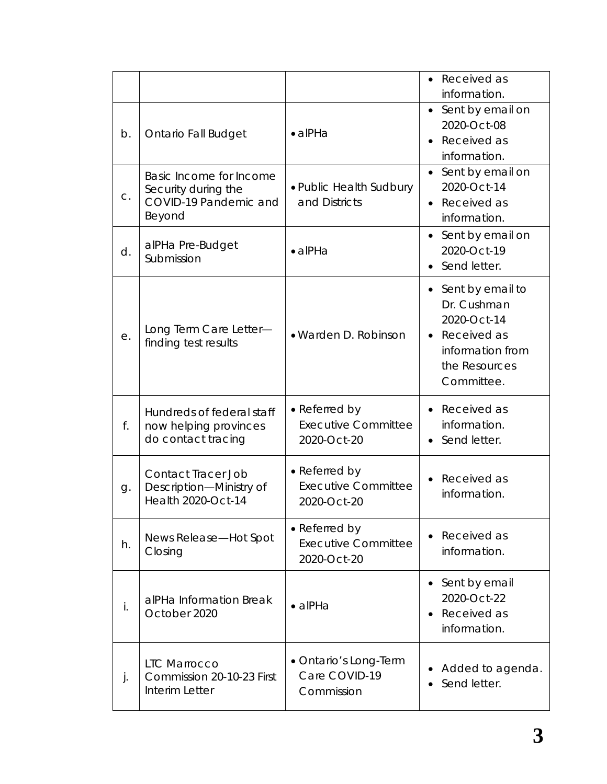|    |                                                                                   |                                                            | Received as<br>information.                                                                                                   |
|----|-----------------------------------------------------------------------------------|------------------------------------------------------------|-------------------------------------------------------------------------------------------------------------------------------|
| b. | <b>Ontario Fall Budget</b>                                                        | $\bullet$ alPHa                                            | • Sent by email on<br>2020-Oct-08<br>Received as<br>information.                                                              |
| C. | Basic Income for Income<br>Security during the<br>COVID-19 Pandemic and<br>Beyond | • Public Health Sudbury<br>and Districts                   | Sent by email on<br>2020-Oct-14<br>Received as<br>$\bullet$<br>information.                                                   |
| d. | alPHa Pre-Budget<br>Submission                                                    | $\bullet$ alPHa                                            | Sent by email on<br>2020-Oct-19<br>Send letter.                                                                               |
| е. | Long Term Care Letter-<br>finding test results                                    | • Warden D. Robinson                                       | Sent by email to<br>Dr. Cushman<br>2020-Oct-14<br>Received as<br>$\bullet$<br>information from<br>the Resources<br>Committee. |
| f. | Hundreds of federal staff<br>now helping provinces<br>do contact tracing          | • Referred by<br><b>Executive Committee</b><br>2020-Oct-20 | Received as<br>information.<br>Send letter.<br>$\bullet$                                                                      |
| g. | Contact Tracer Job<br>Description-Ministry of<br>Health 2020-Oct-14               | • Referred by<br><b>Executive Committee</b><br>2020-Oct-20 | Received as<br>information.                                                                                                   |
| h. | News Release-Hot Spot<br>Closing                                                  | • Referred by<br><b>Executive Committee</b><br>2020-Oct-20 | Received as<br>information.                                                                                                   |
| İ. | alPHa Information Break<br>October 2020                                           | $\bullet$ alPHa                                            | Sent by email<br>2020-Oct-22<br>Received as<br>information.                                                                   |
| j. | <b>LTC Marrocco</b><br>Commission 20-10-23 First<br>Interim Letter                | • Ontario's Long-Term<br>Care COVID-19<br>Commission       | Added to agenda.<br>Send letter.                                                                                              |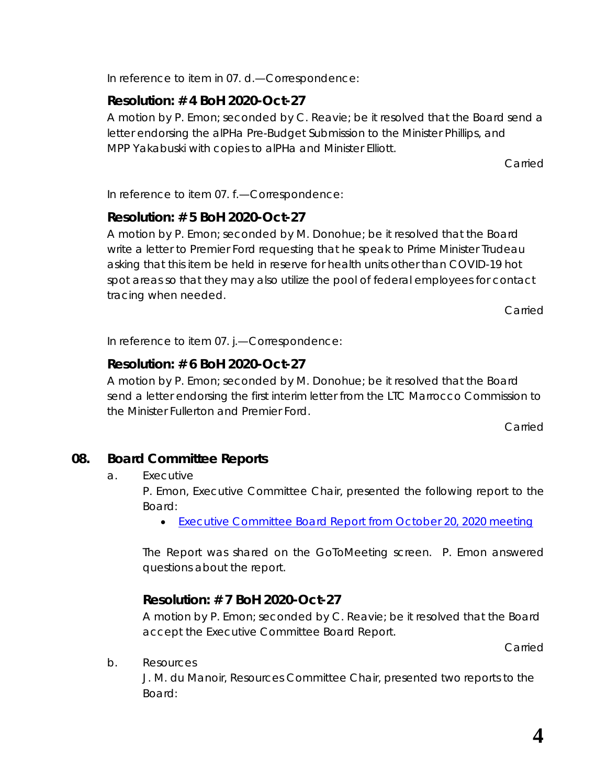In reference to item in 07. d.—Correspondence:

# **Resolution: # 4 BoH 2020-Oct-27**

A motion by P. Emon; seconded by C. Reavie; be it resolved that the Board send a letter endorsing the alPHa *Pre-Budget Submission* to the Minister Phillips, and MPP Yakabuski with copies to alPHa and Minister Elliott.

Carried

In reference to item 07. f.—Correspondence:

# **Resolution: # 5 BoH 2020-Oct-27**

A motion by P. Emon; seconded by M. Donohue; be it resolved that the Board write a letter to Premier Ford requesting that he speak to Prime Minister Trudeau asking that this item be held in reserve for health units other than COVID-19 hot spot areas so that they may also utilize the pool of federal employees for contact tracing when needed.

Carried

In reference to item 07. j.—Correspondence:

# **Resolution: # 6 BoH 2020-Oct-27**

A motion by P. Emon; seconded by M. Donohue; be it resolved that the Board send a letter endorsing the first interim letter from the LTC Marrocco Commission to the Minister Fullerton and Premier Ford.

Carried

# **08. Board Committee Reports**

a. Executive

P. Emon, Executive Committee Chair, presented the following report to the Board:

• [Executive Committee Board Report](https://www.rcdhu.com/wp-content/uploads/2020/12/Executive-Committee-Board-Report-for-2020-Oct-27-2020-Oct-20.docx) from October 20, 2020 meeting

The Report was shared on the GoToMeeting screen. P. Emon answered questions about the report.

# **Resolution: # 7 BoH 2020-Oct-27**

A motion by P. Emon; seconded by C. Reavie; be it resolved that the Board accept the Executive Committee Board Report.

Carried

b. Resources

J. M. du Manoir, Resources Committee Chair, presented two reports to the Board: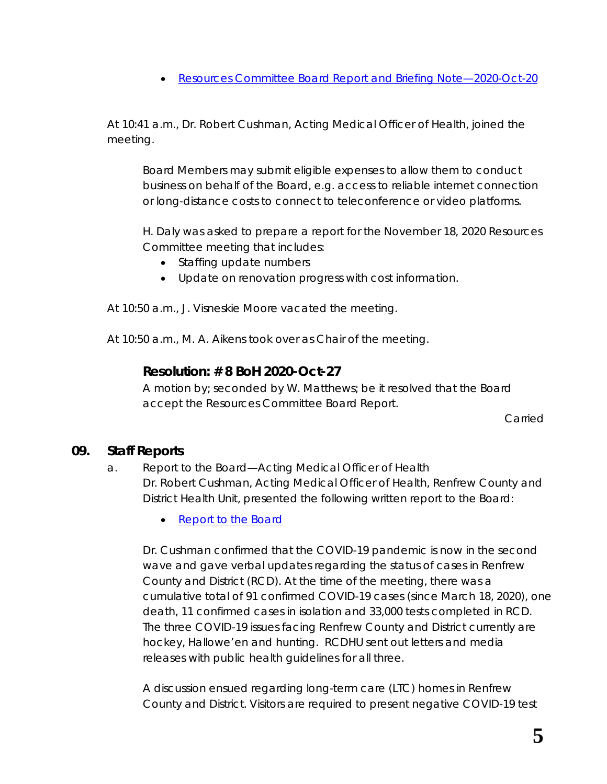• [Resources Committee Board Report](https://www.rcdhu.com/wp-content/uploads/2020/12/09.-b.-Resources-Committee-Board-Report-and-Briefing-Note-2020-Oct-20.pdf) and Briefing Note—2020-Oct-20

At 10:41 a.m., Dr. Robert Cushman, Acting Medical Officer of Health, joined the meeting.

Board Members may submit eligible expenses to allow them to conduct business on behalf of the Board, e.g. access to reliable internet connection or long-distance costs to connect to teleconference or video platforms.

H. Daly was asked to prepare a report for the November 18, 2020 Resources Committee meeting that includes:

- Staffing update numbers
- Update on renovation progress with cost information.

At 10:50 a.m., J. Visneskie Moore vacated the meeting.

At 10:50 a.m., M. A. Aikens took over as Chair of the meeting.

### **Resolution: # 8 BoH 2020-Oct-27**

A motion by; seconded by W. Matthews; be it resolved that the Board accept the Resources Committee Board Report.

Carried

#### **09. Staff Reports**

### a. Report to the Board—Acting Medical Officer of Health Dr. Robert Cushman, Acting Medical Officer of Health, Renfrew County and District Health Unit, presented the following written report to the Board:

• [Report to the Board](https://www.rcdhu.com/wp-content/uploads/2020/12/08.-a.-MOHA-Report-to-the-Board-2020-Oct-27.pdf)

Dr. Cushman confirmed that the COVID-19 pandemic is now in the second wave and gave verbal updates regarding the status of cases in Renfrew County and District (RCD). At the time of the meeting, there was a cumulative total of 91 confirmed COVID-19 cases (since March 18, 2020), one death, 11 confirmed cases in isolation and 33,000 tests completed in RCD. The three COVID-19 issues facing Renfrew County and District currently are hockey, Hallowe'en and hunting. RCDHU sent out letters and media releases with public health guidelines for all three.

A discussion ensued regarding long-term care (LTC) homes in Renfrew County and District. Visitors are required to present negative COVID-19 test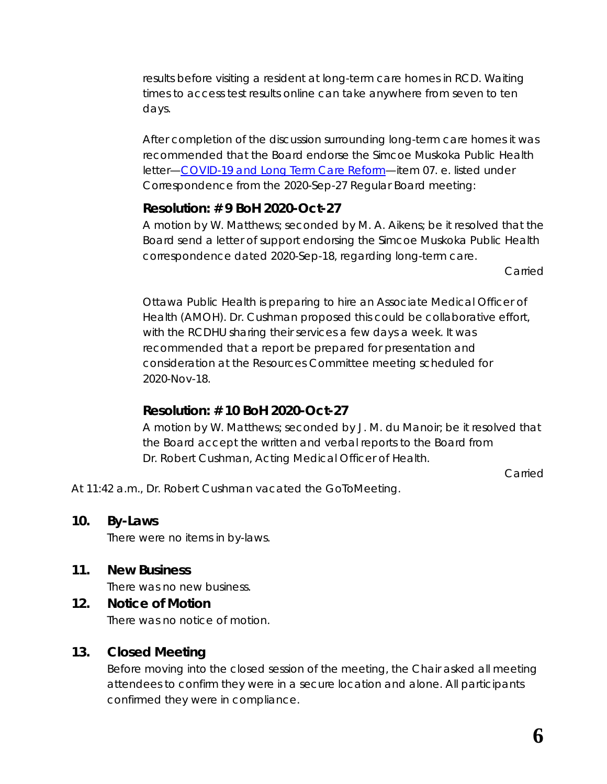results before visiting a resident at long-term care homes in RCD. Waiting times to access test results online can take anywhere from seven to ten days.

After completion of the discussion surrounding long-term care homes it was recommended that the Board endorse the Simcoe Muskoka Public Health letter[—COVID-19 and Long Term Care Reform—](https://www.rcdhu.com/wp-content/uploads/2020/12/07.-e.-COVID-19-and-Long-Term-Care-Reform.pdf)item 07. e. listed under Correspondence from the 2020-Sep-27 Regular Board meeting:

# **Resolution: # 9 BoH 2020-Oct-27**

A motion by W. Matthews; seconded by M. A. Aikens; be it resolved that the Board send a letter of support endorsing the Simcoe Muskoka Public Health correspondence dated 2020-Sep-18, regarding long-term care.

Carried

Ottawa Public Health is preparing to hire an Associate Medical Officer of Health (AMOH). Dr. Cushman proposed this could be collaborative effort, with the RCDHU sharing their services a few days a week. It was recommended that a report be prepared for presentation and consideration at the Resources Committee meeting scheduled for 2020-Nov-18.

# **Resolution: # 10 BoH 2020-Oct-27**

A motion by W. Matthews; seconded by J. M. du Manoir; be it resolved that the Board accept the written and verbal reports to the Board from Dr. Robert Cushman, Acting Medical Officer of Health.

Carried

At 11:42 a.m., Dr. Robert Cushman vacated the *GoToMeeting*.

#### **10. By-Laws**

There were no items in by-laws.

# **11. New Business**

There was no new business.

# **12. Notice of Motion**

There was no notice of motion.

# **13. Closed Meeting**

Before moving into the closed session of the meeting, the Chair asked all meeting attendees to confirm they were in a secure location and alone. All participants confirmed they were in compliance.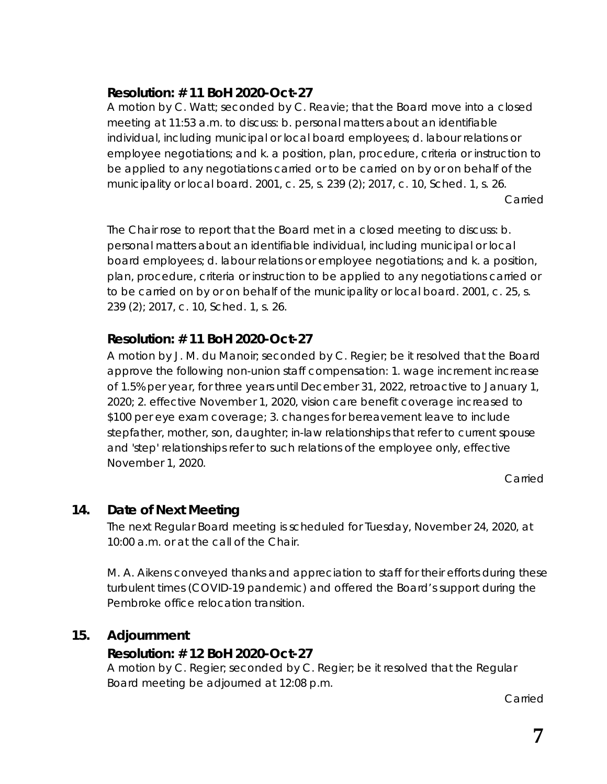# **Resolution: # 11 BoH 2020-Oct-27**

A motion by C. Watt; seconded by C. Reavie; that the Board move into a closed meeting at 11:53 a.m. to discuss: b. personal matters about an identifiable individual, including municipal or local board employees; d. labour relations or employee negotiations; and k. a position, plan, procedure, criteria or instruction to be applied to any negotiations carried or to be carried on by or on behalf of the municipality or local board. 2001, c. 25, s. 239 (2); 2017, c. 10, Sched. 1, s. 26.

Carried

The Chair rose to report that the Board met in a closed meeting to discuss: b. personal matters about an identifiable individual, including municipal or local board employees; d. labour relations or employee negotiations; and k. a position, plan, procedure, criteria or instruction to be applied to any negotiations carried or to be carried on by or on behalf of the municipality or local board. 2001, c. 25, s. 239 (2); 2017, c. 10, Sched. 1, s. 26.

# **Resolution: # 11 BoH 2020-Oct-27**

A motion by J. M. du Manoir; seconded by C. Regier; be it resolved that the Board approve the following non-union staff compensation: 1. wage increment increase of 1.5% per year, for three years until December 31, 2022, retroactive to January 1, 2020; 2. effective November 1, 2020, vision care benefit coverage increased to \$100 per eye exam coverage; 3. changes for bereavement leave to include stepfather, mother, son, daughter; in-law relationships that refer to current spouse and 'step' relationships refer to such relations of the employee only, effective November 1, 2020.

Carried

# **14. Date of Next Meeting**

The next Regular Board meeting is scheduled for Tuesday, November 24, 2020, at 10:00 a.m. or at the call of the Chair.

M. A. Aikens conveyed thanks and appreciation to staff for their efforts during these turbulent times (COVID-19 pandemic) and offered the Board's support during the Pembroke office relocation transition.

# **15. Adjournment**

# **Resolution: # 12 BoH 2020-Oct-27**

A motion by C. Regier; seconded by C. Regier; be it resolved that the Regular Board meeting be adjourned at 12:08 p.m.

Carried